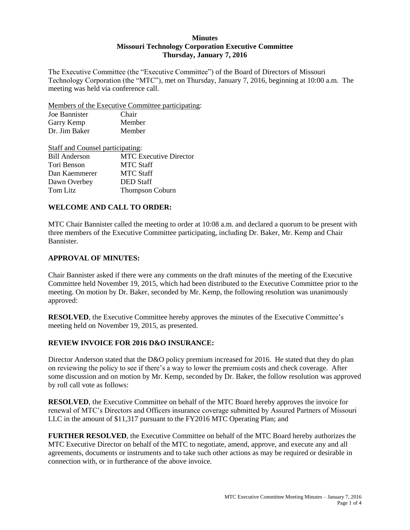## **Minutes Missouri Technology Corporation Executive Committee Thursday, January 7, 2016**

The Executive Committee (the "Executive Committee") of the Board of Directors of Missouri Technology Corporation (the "MTC"), met on Thursday, January 7, 2016, beginning at 10:00 a.m. The meeting was held via conference call.

Members of the Executive Committee participating:

| Joe Bannister | Chair  |  |
|---------------|--------|--|
| Garry Kemp    | Member |  |
| Dr. Jim Baker | Member |  |

| Staff and Counsel participating: |                               |
|----------------------------------|-------------------------------|
| <b>Bill Anderson</b>             | <b>MTC Executive Director</b> |
| Tori Benson                      | <b>MTC Staff</b>              |
| Dan Kaemmerer                    | <b>MTC Staff</b>              |
| Dawn Overbey                     | <b>DED</b> Staff              |
| Tom Litz                         | Thompson Coburn               |

# **WELCOME AND CALL TO ORDER:**

MTC Chair Bannister called the meeting to order at 10:08 a.m. and declared a quorum to be present with three members of the Executive Committee participating, including Dr. Baker, Mr. Kemp and Chair Bannister.

# **APPROVAL OF MINUTES:**

Chair Bannister asked if there were any comments on the draft minutes of the meeting of the Executive Committee held November 19, 2015, which had been distributed to the Executive Committee prior to the meeting. On motion by Dr. Baker, seconded by Mr. Kemp, the following resolution was unanimously approved:

**RESOLVED**, the Executive Committee hereby approves the minutes of the Executive Committee's meeting held on November 19, 2015, as presented.

# **REVIEW INVOICE FOR 2016 D&O INSURANCE:**

Director Anderson stated that the D&O policy premium increased for 2016. He stated that they do plan on reviewing the policy to see if there's a way to lower the premium costs and check coverage. After some discussion and on motion by Mr. Kemp, seconded by Dr. Baker, the follow resolution was approved by roll call vote as follows:

**RESOLVED**, the Executive Committee on behalf of the MTC Board hereby approves the invoice for renewal of MTC's Directors and Officers insurance coverage submitted by Assured Partners of Missouri LLC in the amount of \$11,317 pursuant to the FY2016 MTC Operating Plan; and

**FURTHER RESOLVED**, the Executive Committee on behalf of the MTC Board hereby authorizes the MTC Executive Director on behalf of the MTC to negotiate, amend, approve, and execute any and all agreements, documents or instruments and to take such other actions as may be required or desirable in connection with, or in furtherance of the above invoice.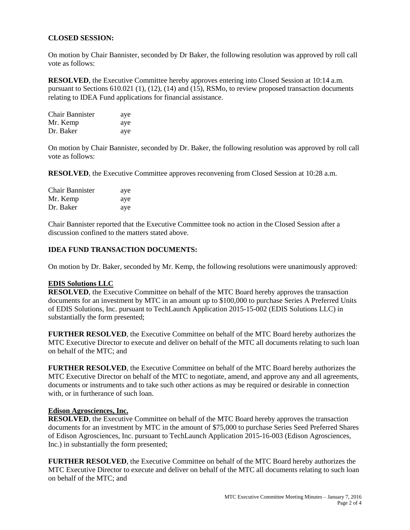# **CLOSED SESSION:**

On motion by Chair Bannister, seconded by Dr Baker, the following resolution was approved by roll call vote as follows:

**RESOLVED**, the Executive Committee hereby approves entering into Closed Session at 10:14 a.m. pursuant to Sections 610.021 (1), (12), (14) and (15), RSMo, to review proposed transaction documents relating to IDEA Fund applications for financial assistance.

| <b>Chair Bannister</b> | aye |
|------------------------|-----|
| Mr. Kemp               | aye |
| Dr. Baker              | aye |

On motion by Chair Bannister, seconded by Dr. Baker, the following resolution was approved by roll call vote as follows:

**RESOLVED**, the Executive Committee approves reconvening from Closed Session at 10:28 a.m.

| <b>Chair Bannister</b> | aye |
|------------------------|-----|
| Mr. Kemp               | aye |
| Dr. Baker              | aye |

Chair Bannister reported that the Executive Committee took no action in the Closed Session after a discussion confined to the matters stated above.

### **IDEA FUND TRANSACTION DOCUMENTS:**

On motion by Dr. Baker, seconded by Mr. Kemp, the following resolutions were unanimously approved:

#### **EDIS Solutions LLC**

**RESOLVED**, the Executive Committee on behalf of the MTC Board hereby approves the transaction documents for an investment by MTC in an amount up to \$100,000 to purchase Series A Preferred Units of EDIS Solutions, Inc. pursuant to TechLaunch Application 2015-15-002 (EDIS Solutions LLC) in substantially the form presented;

**FURTHER RESOLVED**, the Executive Committee on behalf of the MTC Board hereby authorizes the MTC Executive Director to execute and deliver on behalf of the MTC all documents relating to such loan on behalf of the MTC; and

**FURTHER RESOLVED**, the Executive Committee on behalf of the MTC Board hereby authorizes the MTC Executive Director on behalf of the MTC to negotiate, amend, and approve any and all agreements, documents or instruments and to take such other actions as may be required or desirable in connection with, or in furtherance of such loan.

#### **Edison Agrosciences, Inc.**

**RESOLVED**, the Executive Committee on behalf of the MTC Board hereby approves the transaction documents for an investment by MTC in the amount of \$75,000 to purchase Series Seed Preferred Shares of Edison Agrosciences, Inc. pursuant to TechLaunch Application 2015-16-003 (Edison Agrosciences, Inc.) in substantially the form presented;

**FURTHER RESOLVED**, the Executive Committee on behalf of the MTC Board hereby authorizes the MTC Executive Director to execute and deliver on behalf of the MTC all documents relating to such loan on behalf of the MTC; and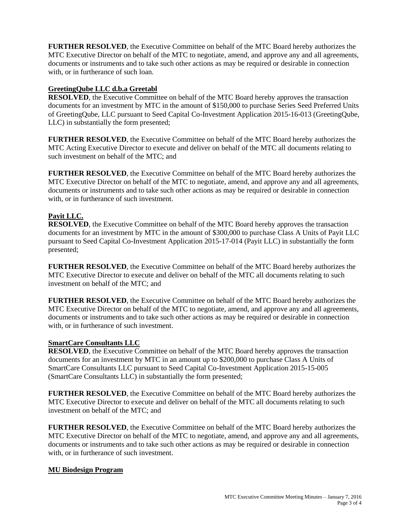**FURTHER RESOLVED**, the Executive Committee on behalf of the MTC Board hereby authorizes the MTC Executive Director on behalf of the MTC to negotiate, amend, and approve any and all agreements, documents or instruments and to take such other actions as may be required or desirable in connection with, or in furtherance of such loan.

# **GreetingQube LLC d.b.a Greetabl**

**RESOLVED**, the Executive Committee on behalf of the MTC Board hereby approves the transaction documents for an investment by MTC in the amount of \$150,000 to purchase Series Seed Preferred Units of GreetingQube, LLC pursuant to Seed Capital Co-Investment Application 2015-16-013 (GreetingQube, LLC) in substantially the form presented;

**FURTHER RESOLVED**, the Executive Committee on behalf of the MTC Board hereby authorizes the MTC Acting Executive Director to execute and deliver on behalf of the MTC all documents relating to such investment on behalf of the MTC; and

**FURTHER RESOLVED**, the Executive Committee on behalf of the MTC Board hereby authorizes the MTC Executive Director on behalf of the MTC to negotiate, amend, and approve any and all agreements, documents or instruments and to take such other actions as may be required or desirable in connection with, or in furtherance of such investment.

# **Payit LLC.**

**RESOLVED**, the Executive Committee on behalf of the MTC Board hereby approves the transaction documents for an investment by MTC in the amount of \$300,000 to purchase Class A Units of Payit LLC pursuant to Seed Capital Co-Investment Application 2015-17-014 (Payit LLC) in substantially the form presented;

**FURTHER RESOLVED**, the Executive Committee on behalf of the MTC Board hereby authorizes the MTC Executive Director to execute and deliver on behalf of the MTC all documents relating to such investment on behalf of the MTC; and

**FURTHER RESOLVED**, the Executive Committee on behalf of the MTC Board hereby authorizes the MTC Executive Director on behalf of the MTC to negotiate, amend, and approve any and all agreements, documents or instruments and to take such other actions as may be required or desirable in connection with, or in furtherance of such investment.

## **SmartCare Consultants LLC**

**RESOLVED**, the Executive Committee on behalf of the MTC Board hereby approves the transaction documents for an investment by MTC in an amount up to \$200,000 to purchase Class A Units of SmartCare Consultants LLC pursuant to Seed Capital Co-Investment Application 2015-15-005 (SmartCare Consultants LLC) in substantially the form presented;

**FURTHER RESOLVED**, the Executive Committee on behalf of the MTC Board hereby authorizes the MTC Executive Director to execute and deliver on behalf of the MTC all documents relating to such investment on behalf of the MTC; and

**FURTHER RESOLVED**, the Executive Committee on behalf of the MTC Board hereby authorizes the MTC Executive Director on behalf of the MTC to negotiate, amend, and approve any and all agreements, documents or instruments and to take such other actions as may be required or desirable in connection with, or in furtherance of such investment.

## **MU Biodesign Program**